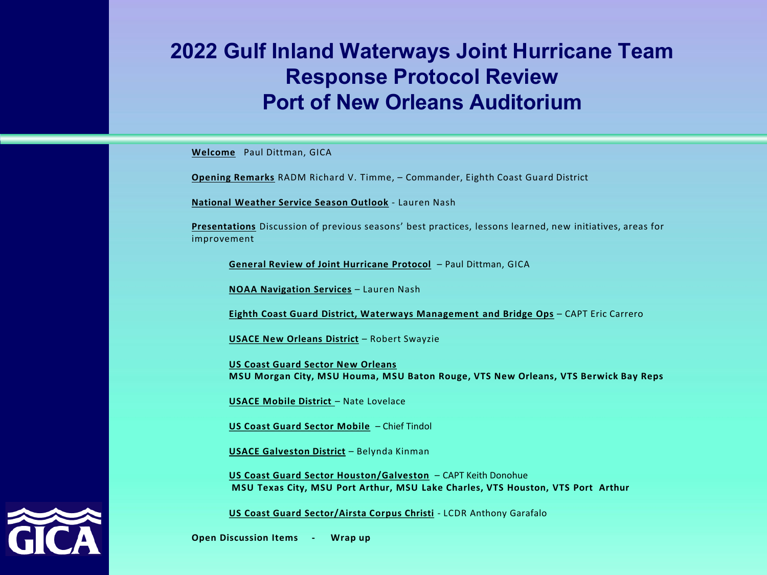#### **2022 Gulf Inland Waterways Joint Hurricane Team Response Protocol Review Port of New Orleans Auditorium**

**Welcome** Paul Dittman, GICA

**Opening Remarks** RADM Richard V. Timme, – Commander, Eighth Coast Guard District

**National Weather Service Season Outlook** - Lauren Nash

**Presentations** Discussion of previous seasons' best practices, lessons learned, new initiatives, areas for improvement

**General Review of Joint Hurricane Protocol** – Paul Dittman, GICA

**NOAA Navigation Services** – Lauren Nash

**Eighth Coast Guard District, Waterways Management and Bridge Ops** – CAPT Eric Carrero

**USACE New Orleans District** – Robert Swayzie

**US Coast Guard Sector New Orleans MSU Morgan City, MSU Houma, MSU Baton Rouge, VTS New Orleans, VTS Berwick Bay Reps**

**USACE Mobile District** – Nate Lovelace

**US Coast Guard Sector Mobile** – Chief Tindol

**USACE Galveston District** – Belynda Kinman

**US Coast Guard Sector Houston/Galveston** – CAPT Keith Donohue **MSU Texas City, MSU Port Arthur, MSU Lake Charles, VTS Houston, VTS Port Arthur**

**US Coast Guard Sector/Airsta Corpus Christi** - LCDR Anthony Garafalo

**Open Discussion Items - Wrap up**

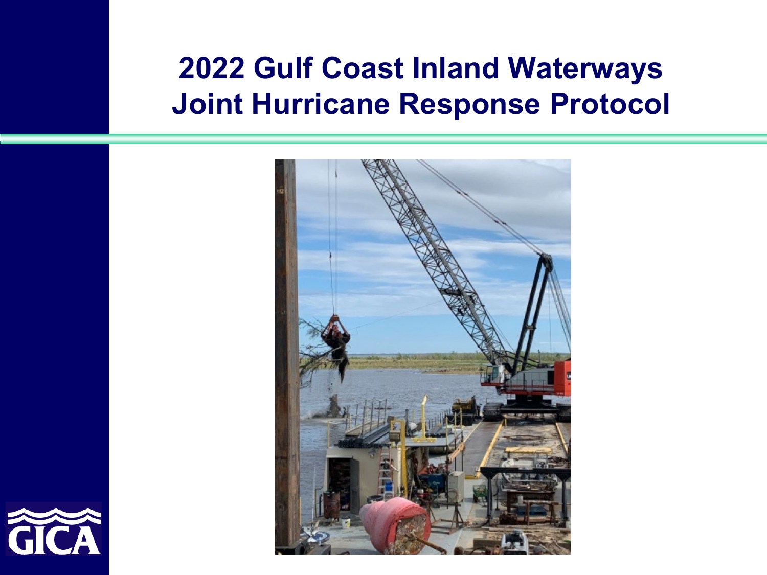### **2022 Gulf Coast Inland Waterways Joint Hurricane Response Protocol**



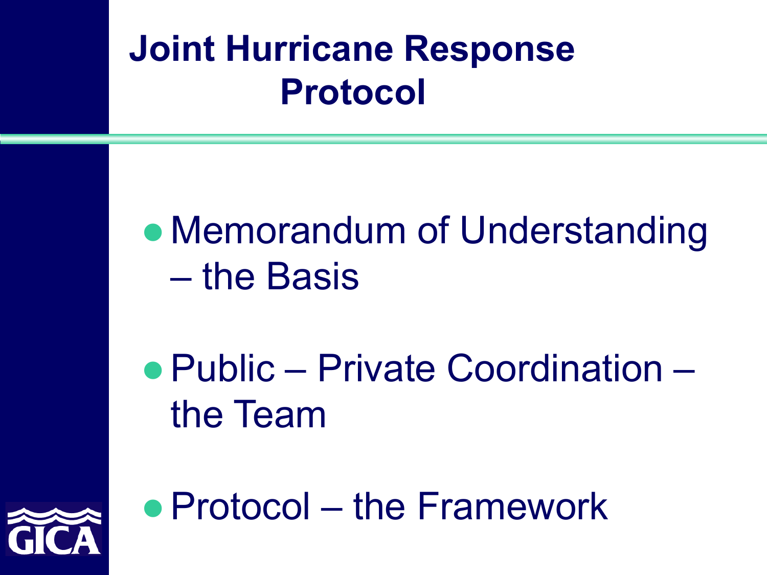## **Joint Hurricane Response Protocol**

• Memorandum of Understanding – the Basis

 Public – Private Coordination – the Team



• Protocol – the Framework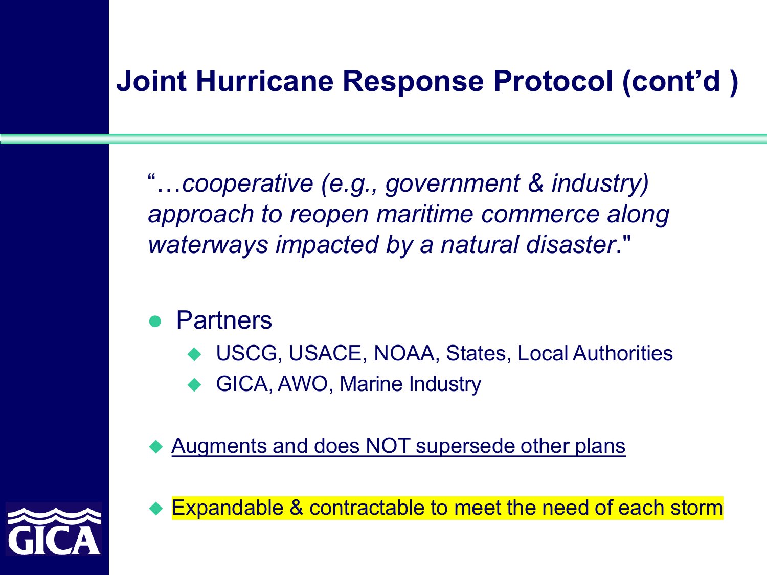### **Joint Hurricane Response Protocol (cont'd )**

"…*cooperative (e.g., government & industry) approach to reopen maritime commerce along waterways impacted by a natural disaster*."

- Partners
	- USCG, USACE, NOAA, States, Local Authorities
	- GICA, AWO, Marine Industry

Augments and does NOT supersede other plans



Expandable & contractable to meet the need of each storm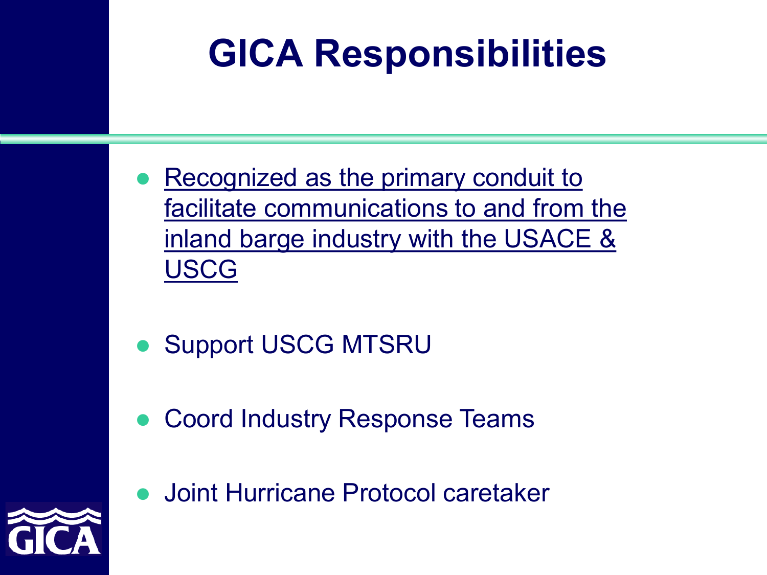# **GICA Responsibilities**

- Recognized as the primary conduit to facilitate communications to and from the inland barge industry with the USACE & USCG
- Support USCG MTSRU
- Coord Industry Response Teams
- Joint Hurricane Protocol caretaker

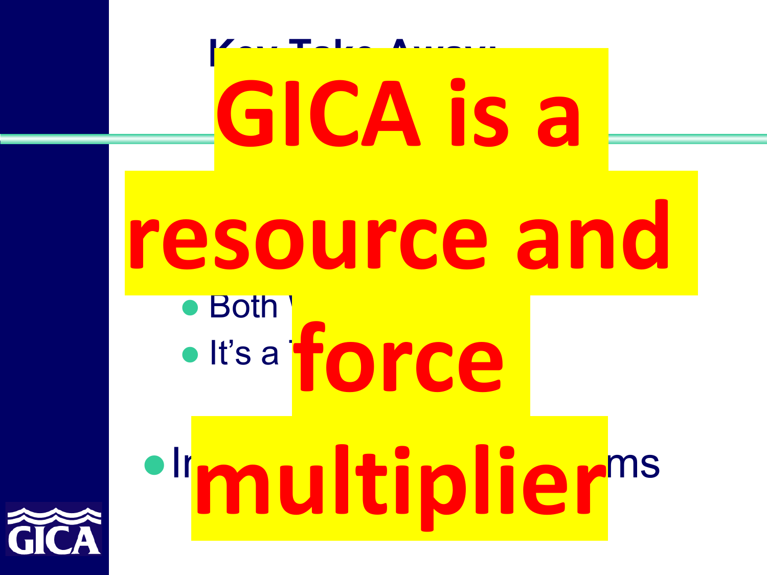

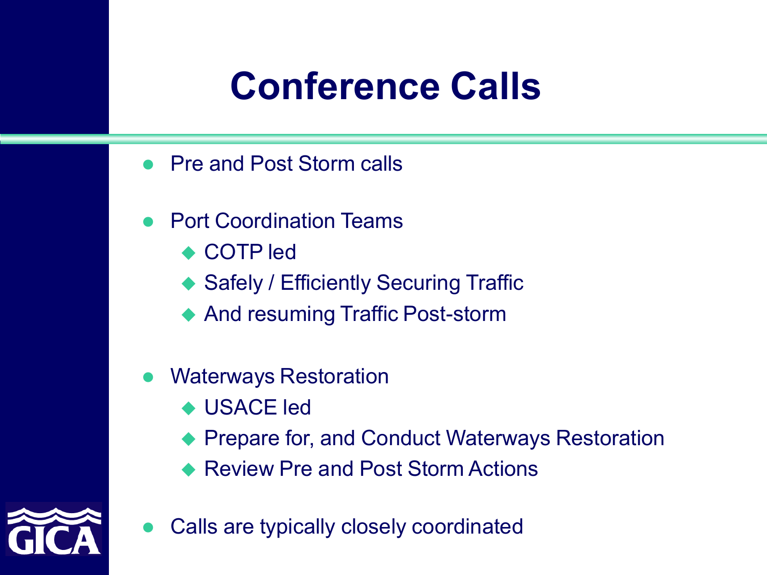## **Conference Calls**

- Pre and Post Storm calls
- Port Coordination Teams
	- ◆ COTP led
	- ◆ Safely / Efficiently Securing Traffic
	- ◆ And resuming Traffic Post-storm
- Waterways Restoration
	- ◆ USACE led
	- Prepare for, and Conduct Waterways Restoration
	- Review Pre and Post Storm Actions



Calls are typically closely coordinated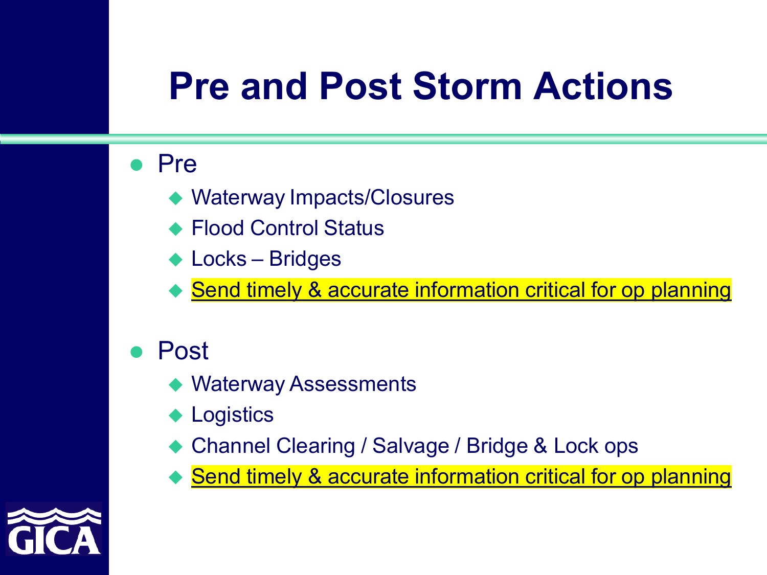## **Pre and Post Storm Actions**

#### Pre

- Waterway Impacts/Closures
- Flood Control Status
- ◆ Locks Bridges
- Send timely & accurate information critical for op planning
- Post
	- ◆ Waterway Assessments
	- ◆ Logistics
	- Channel Clearing / Salvage / Bridge & Lock ops
	- ◆ Send timely & accurate information critical for op planning

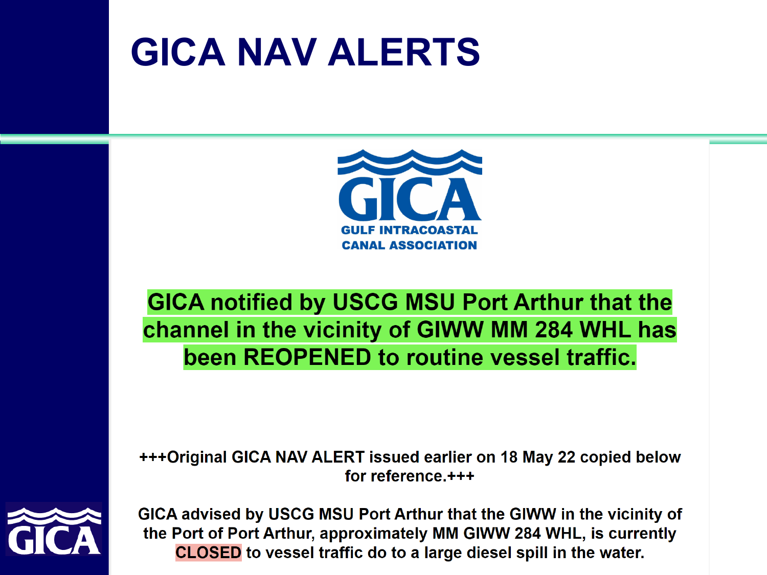## **GICA NAV ALERTS**



**GICA notified by USCG MSU Port Arthur that the** channel in the vicinity of GIWW MM 284 WHL has been REOPENED to routine vessel traffic.

+++Original GICA NAV ALERT issued earlier on 18 May 22 copied below for reference.+++



GICA advised by USCG MSU Port Arthur that the GIWW in the vicinity of the Port of Port Arthur, approximately MM GIWW 284 WHL, is currently **CLOSED** to vessel traffic do to a large diesel spill in the water.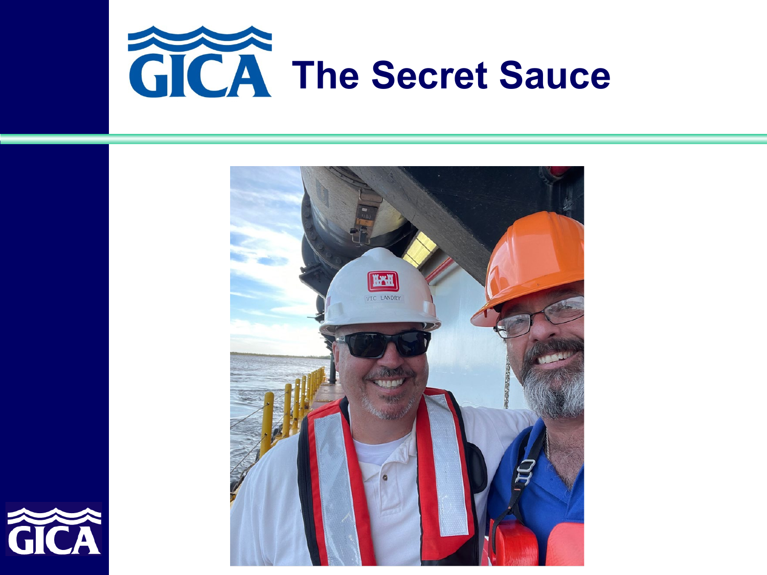



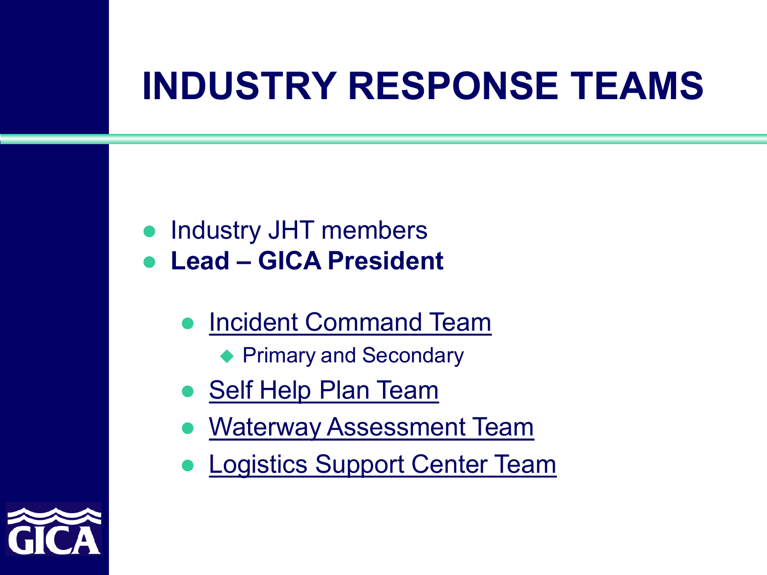# **INDUSTRY RESPONSE TEAMS**

- **Industry JHT members**
- **Lead – GICA President**
	- Incident Command Team
		- ◆ Primary and Secondary
	- Self Help Plan Team
	- Waterway Assessment Team
	- Logistics Support Center Team

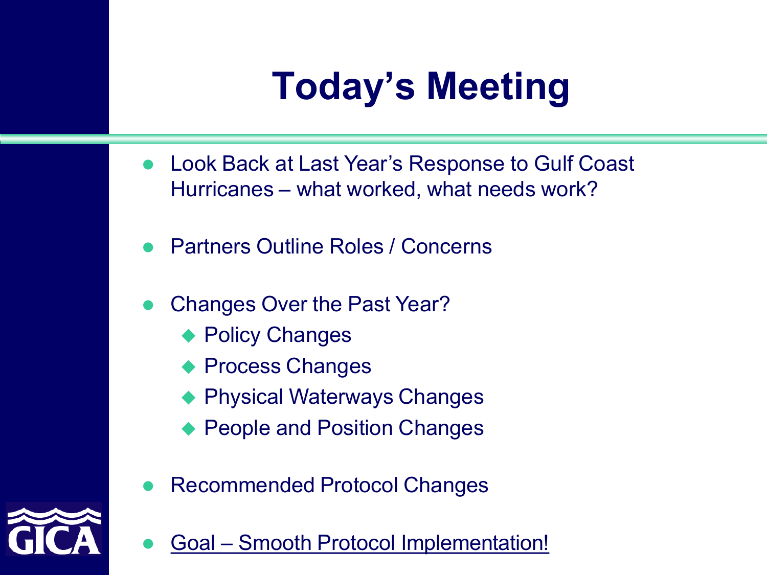# **Today's Meeting**

- Look Back at Last Year's Response to Gulf Coast Hurricanes – what worked, what needs work?
- Partners Outline Roles / Concerns
- Changes Over the Past Year?
	- ◆ Policy Changes
	- Process Changes
	- Physical Waterways Changes
	- People and Position Changes
- Recommended Protocol Changes



Goal – Smooth Protocol Implementation!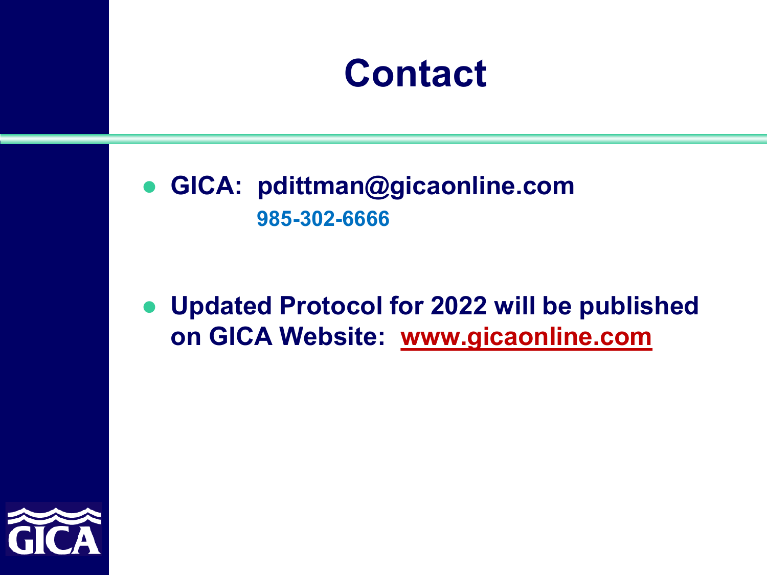

 **GICA: pdittman@gicaonline.com 985-302-6666**

### **Updated Protocol for 2022 will be published on GICA Website: [www.gicaonline.com](http://www.gicaonline.com/)**